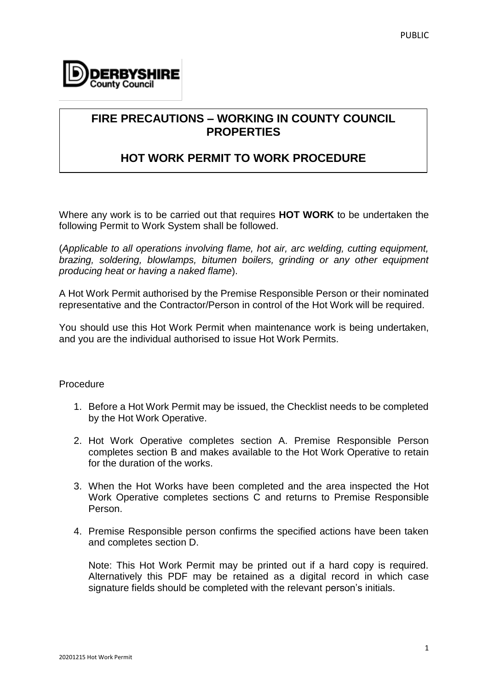

## **FIRE PRECAUTIONS – WORKING IN COUNTY COUNCIL PROPERTIES**

# **HOT WORK PERMIT TO WORK PROCEDURE**

Where any work is to be carried out that requires **HOT WORK** to be undertaken the following Permit to Work System shall be followed.

(*Applicable to all operations involving flame, hot air, arc welding, cutting equipment, brazing, soldering, blowlamps, bitumen boilers, grinding or any other equipment producing heat or having a naked flame*).

A Hot Work Permit authorised by the Premise Responsible Person or their nominated representative and the Contractor/Person in control of the Hot Work will be required.

You should use this Hot Work Permit when maintenance work is being undertaken, and you are the individual authorised to issue Hot Work Permits.

### **Procedure**

- 1. Before a Hot Work Permit may be issued, the Checklist needs to be completed by the Hot Work Operative.
- 2. Hot Work Operative completes section A. Premise Responsible Person completes section B and makes available to the Hot Work Operative to retain for the duration of the works.
- 3. When the Hot Works have been completed and the area inspected the Hot Work Operative completes sections C and returns to Premise Responsible Person.
- 4. Premise Responsible person confirms the specified actions have been taken and completes section D.

Note: This Hot Work Permit may be printed out if a hard copy is required. Alternatively this PDF may be retained as a digital record in which case signature fields should be completed with the relevant person's initials.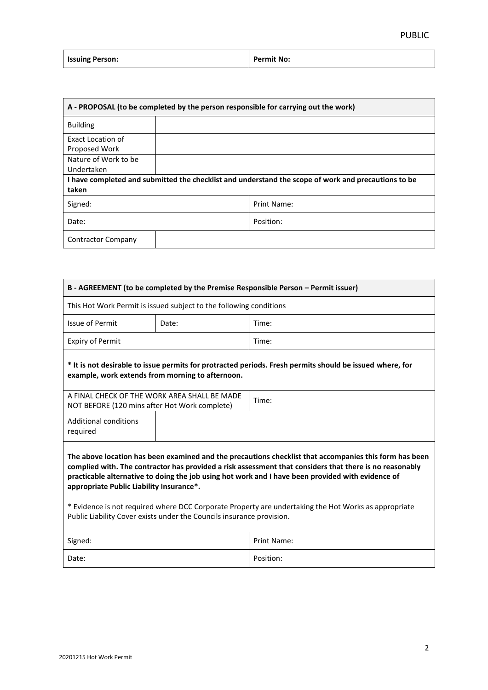| <b>Issuing Person:</b> | Permit No: |
|------------------------|------------|
|------------------------|------------|

| A - PROPOSAL (to be completed by the person responsible for carrying out the work)                  |             |  |
|-----------------------------------------------------------------------------------------------------|-------------|--|
| <b>Building</b>                                                                                     |             |  |
| Exact Location of                                                                                   |             |  |
| Proposed Work                                                                                       |             |  |
| Nature of Work to be                                                                                |             |  |
| Undertaken                                                                                          |             |  |
| I have completed and submitted the checklist and understand the scope of work and precautions to be |             |  |
| taken                                                                                               |             |  |
| Signed:                                                                                             | Print Name: |  |
| Date:                                                                                               | Position:   |  |
| Contractor Company                                                                                  |             |  |

| B - AGREEMENT (to be completed by the Premise Responsible Person - Permit issuer)                                                                                                                                                                                                                                                                                                                                                                                                                                                                   |       |                    |  |
|-----------------------------------------------------------------------------------------------------------------------------------------------------------------------------------------------------------------------------------------------------------------------------------------------------------------------------------------------------------------------------------------------------------------------------------------------------------------------------------------------------------------------------------------------------|-------|--------------------|--|
| This Hot Work Permit is issued subject to the following conditions                                                                                                                                                                                                                                                                                                                                                                                                                                                                                  |       |                    |  |
| <b>Issue of Permit</b>                                                                                                                                                                                                                                                                                                                                                                                                                                                                                                                              | Date: | Time:              |  |
| <b>Expiry of Permit</b>                                                                                                                                                                                                                                                                                                                                                                                                                                                                                                                             |       | Time:              |  |
| t it is not desirable to issue permits for protracted periods. Fresh permits should be issued where, for<br>example, work extends from morning to afternoon.                                                                                                                                                                                                                                                                                                                                                                                        |       |                    |  |
| A FINAL CHECK OF THE WORK AREA SHALL BE MADE<br>NOT BEFORE (120 mins after Hot Work complete)                                                                                                                                                                                                                                                                                                                                                                                                                                                       |       | Time:              |  |
| <b>Additional conditions</b><br>required                                                                                                                                                                                                                                                                                                                                                                                                                                                                                                            |       |                    |  |
| The above location has been examined and the precautions checklist that accompanies this form has been<br>complied with. The contractor has provided a risk assessment that considers that there is no reasonably<br>practicable alternative to doing the job using hot work and I have been provided with evidence of<br>appropriate Public Liability Insurance*.<br>* Evidence is not required where DCC Corporate Property are undertaking the Hot Works as appropriate<br>Public Liability Cover exists under the Councils insurance provision. |       |                    |  |
| Signed:                                                                                                                                                                                                                                                                                                                                                                                                                                                                                                                                             |       | <b>Print Name:</b> |  |
| Date:                                                                                                                                                                                                                                                                                                                                                                                                                                                                                                                                               |       | Position:          |  |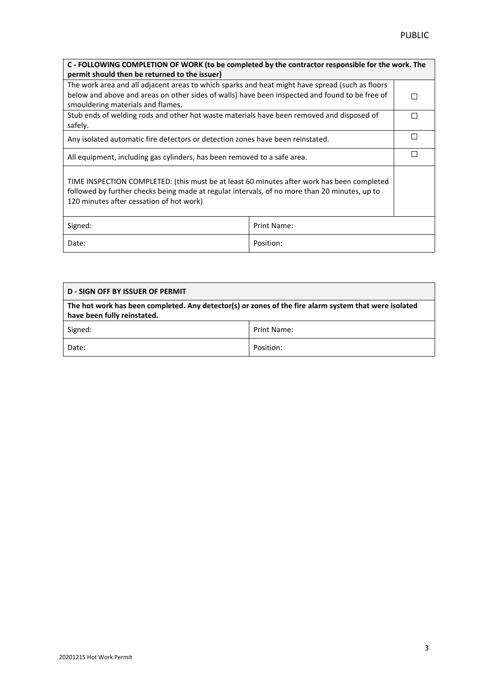| C - FOLLOWING COMPLETION OF WORK (to be completed by the contractor responsible for the work. The                                                                                                                                       |             |   |  |
|-----------------------------------------------------------------------------------------------------------------------------------------------------------------------------------------------------------------------------------------|-------------|---|--|
| permit should then be returned to the issuer)                                                                                                                                                                                           |             |   |  |
| The work area and all adjacent areas to which sparks and heat might have spread (such as floors                                                                                                                                         |             |   |  |
| below and above and areas on other sides of walls) have been inspected and found to be free of                                                                                                                                          |             |   |  |
| smouldering materials and flames.                                                                                                                                                                                                       |             |   |  |
| Stub ends of welding rods and other hot waste materials have been removed and disposed of                                                                                                                                               |             | Г |  |
| safely.                                                                                                                                                                                                                                 |             |   |  |
| Any isolated automatic fire detectors or detection zones have been reinstated.                                                                                                                                                          |             | Г |  |
| All equipment, including gas cylinders, has been removed to a safe area.                                                                                                                                                                |             | Г |  |
| TIME INSPECTION COMPLETED: (this must be at least 60 minutes after work has been completed<br>followed by further checks being made at regular intervals, of no more than 20 minutes, up to<br>120 minutes after cessation of hot work) |             |   |  |
| Signed:                                                                                                                                                                                                                                 | Print Name: |   |  |
| Date:                                                                                                                                                                                                                                   | Position:   |   |  |

| <b>D - SIGN OFF BY ISSUER OF PERMIT</b>                                                                                              |             |  |
|--------------------------------------------------------------------------------------------------------------------------------------|-------------|--|
| The hot work has been completed. Any detector(s) or zones of the fire alarm system that were isolated<br>have been fully reinstated. |             |  |
| Signed:                                                                                                                              | Print Name: |  |
| Date:                                                                                                                                | Position:   |  |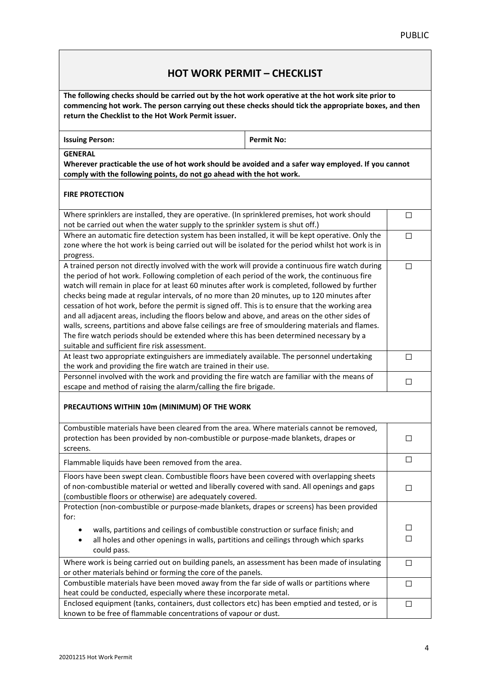### **HOT WORK PERMIT – CHECKLIST**

**The following checks should be carried out by the hot work operative at the hot work site prior to commencing hot work. The person carrying out these checks should tick the appropriate boxes, and then return the Checklist to the Hot Work Permit issuer.**

|  | <b>Issuing Person:</b> |  |
|--|------------------------|--|

**Permit No:** 

**GENERAL**

**Wherever practicable the use of hot work should be avoided and a safer way employed. If you cannot comply with the following points, do not go ahead with the hot work.**

#### **FIRE PROTECTION**

| Where sprinklers are installed, they are operative. (In sprinklered premises, hot work should<br>not be carried out when the water supply to the sprinkler system is shut off.) | □      |
|---------------------------------------------------------------------------------------------------------------------------------------------------------------------------------|--------|
|                                                                                                                                                                                 |        |
| Where an automatic fire detection system has been installed, it will be kept operative. Only the                                                                                | П      |
| zone where the hot work is being carried out will be isolated for the period whilst hot work is in                                                                              |        |
| progress.                                                                                                                                                                       |        |
| A trained person not directly involved with the work will provide a continuous fire watch during                                                                                | □      |
| the period of hot work. Following completion of each period of the work, the continuous fire                                                                                    |        |
| watch will remain in place for at least 60 minutes after work is completed, followed by further                                                                                 |        |
| checks being made at regular intervals, of no more than 20 minutes, up to 120 minutes after                                                                                     |        |
| cessation of hot work, before the permit is signed off. This is to ensure that the working area                                                                                 |        |
| and all adjacent areas, including the floors below and above, and areas on the other sides of                                                                                   |        |
| walls, screens, partitions and above false ceilings are free of smouldering materials and flames.                                                                               |        |
| The fire watch periods should be extended where this has been determined necessary by a                                                                                         |        |
| suitable and sufficient fire risk assessment.                                                                                                                                   |        |
| At least two appropriate extinguishers are immediately available. The personnel undertaking                                                                                     | □      |
| the work and providing the fire watch are trained in their use.                                                                                                                 |        |
| Personnel involved with the work and providing the fire watch are familiar with the means of                                                                                    |        |
| escape and method of raising the alarm/calling the fire brigade.                                                                                                                | □      |
| PRECAUTIONS WITHIN 10m (MINIMUM) OF THE WORK                                                                                                                                    |        |
| Combustible materials have been cleared from the area. Where materials cannot be removed,                                                                                       |        |
| protection has been provided by non-combustible or purpose-made blankets, drapes or                                                                                             | $\Box$ |
| screens.                                                                                                                                                                        |        |
|                                                                                                                                                                                 | □      |
| Flammable liquids have been removed from the area.                                                                                                                              |        |
| Floors have been swept clean. Combustible floors have been covered with overlapping sheets                                                                                      |        |
| of non-combustible material or wetted and liberally covered with sand. All openings and gaps                                                                                    | □      |
| (combustible floors or otherwise) are adequately covered.                                                                                                                       |        |
| Protection (non-combustible or purpose-made blankets, drapes or screens) has been provided                                                                                      |        |
| for:                                                                                                                                                                            |        |
| walls, partitions and ceilings of combustible construction or surface finish; and                                                                                               | □      |
| all holes and other openings in walls, partitions and ceilings through which sparks<br>$\bullet$                                                                                | □      |
| could pass.                                                                                                                                                                     |        |
|                                                                                                                                                                                 |        |
| Where work is being carried out on building panels, an assessment has been made of insulating                                                                                   | □      |
| or other materials behind or forming the core of the panels.                                                                                                                    |        |
| Combustible materials have been moved away from the far side of walls or partitions where                                                                                       | $\Box$ |
| heat could be conducted, especially where these incorporate metal.                                                                                                              |        |
|                                                                                                                                                                                 |        |
| Enclosed equipment (tanks, containers, dust collectors etc) has been emptied and tested, or is<br>known to be free of flammable concentrations of vapour or dust.               | □      |